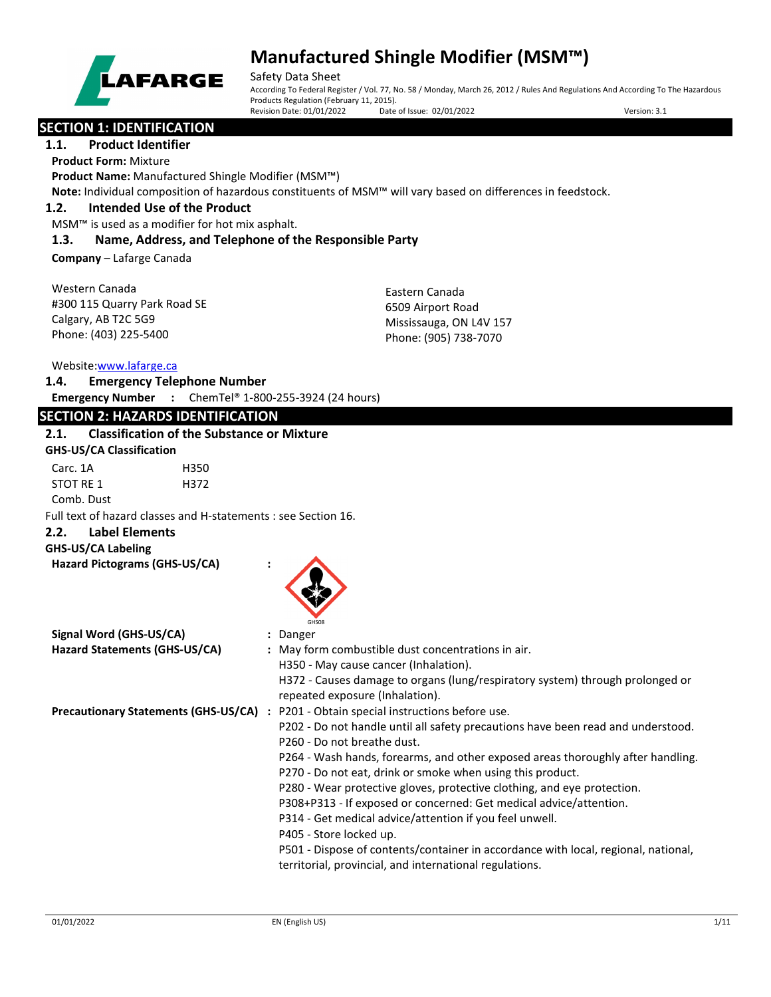

Safety Data Sheet According To Federal Register / Vol. 77, No. 58 / Monday, March 26, 2012 / Rules And Regulations And According To The Hazardous Products Regulation (February 11, 2015).<br>Revision Date: 01/01/2022 Date of Issue: 02/01/2022 Revision Date: 01/01/2022 Date of Issue: 02/01/2022 Version: 3.1

## **SECTION 1: IDENTIFICATION**

### **1.1. Product Identifier**

**Product Form:** Mixture

**Product Name:** Manufactured Shingle Modifier (MSM™)

**Note:** Individual composition of hazardous constituents of MSM™ will vary based on differences in feedstock.

#### **1.2. Intended Use of the Product**

MSM™ is used as a modifier for hot mix asphalt.

#### **1.3. Name, Address, and Telephone of the Responsible Party**

**Company** – Lafarge Canada

| Western Canada               |
|------------------------------|
| #300 115 Quarry Park Road SE |
| Calgary, AB T2C 5G9          |
| Phone: (403) 225-5400        |

Eastern Canada 6509 Airport Road Mississauga, ON L4V 157 Phone: (905) 738-7070

Website[:www.lafarge.ca](file://leon/customers/CUSTOMERS/Lafarge_North_America_Inc/Projects/Authoring_20180316/Batch_Folder/B_Draft_SDS/MS_Word_Files/www.lafarge.ca)

#### **1.4. Emergency Telephone Number**

**Emergency Number :** ChemTel® 1-800-255-3924 (24 hours)

### **SECTION 2: HAZARDS IDENTIFICATION**

### **2.1. Classification of the Substance or Mixture**

| <b>GHS-US/CA Classification</b>                                |                                                                                                                                               |
|----------------------------------------------------------------|-----------------------------------------------------------------------------------------------------------------------------------------------|
| Carc. 1A<br>H350                                               |                                                                                                                                               |
| STOT RE 1<br>H372                                              |                                                                                                                                               |
| Comb. Dust                                                     |                                                                                                                                               |
| Full text of hazard classes and H-statements : see Section 16. |                                                                                                                                               |
| <b>Label Elements</b><br>2.2.                                  |                                                                                                                                               |
| <b>GHS-US/CA Labeling</b>                                      |                                                                                                                                               |
| Hazard Pictograms (GHS-US/CA)                                  | GHSOR                                                                                                                                         |
| Signal Word (GHS-US/CA)                                        | : Danger                                                                                                                                      |
| Hazard Statements (GHS-US/CA)                                  | : May form combustible dust concentrations in air.                                                                                            |
|                                                                | H350 - May cause cancer (Inhalation).                                                                                                         |
|                                                                | H372 - Causes damage to organs (lung/respiratory system) through prolonged or<br>repeated exposure (Inhalation).                              |
|                                                                | Precautionary Statements (GHS-US/CA) : P201 - Obtain special instructions before use.                                                         |
|                                                                | P202 - Do not handle until all safety precautions have been read and understood.<br>P260 - Do not breathe dust.                               |
|                                                                | P264 - Wash hands, forearms, and other exposed areas thoroughly after handling.<br>P270 - Do not eat, drink or smoke when using this product. |
|                                                                | P280 - Wear protective gloves, protective clothing, and eye protection.                                                                       |
|                                                                | P308+P313 - If exposed or concerned: Get medical advice/attention.                                                                            |
|                                                                | P314 - Get medical advice/attention if you feel unwell.                                                                                       |
|                                                                | P405 - Store locked up.                                                                                                                       |
|                                                                | P501 - Dispose of contents/container in accordance with local, regional, national,                                                            |
|                                                                |                                                                                                                                               |

territorial, provincial, and international regulations.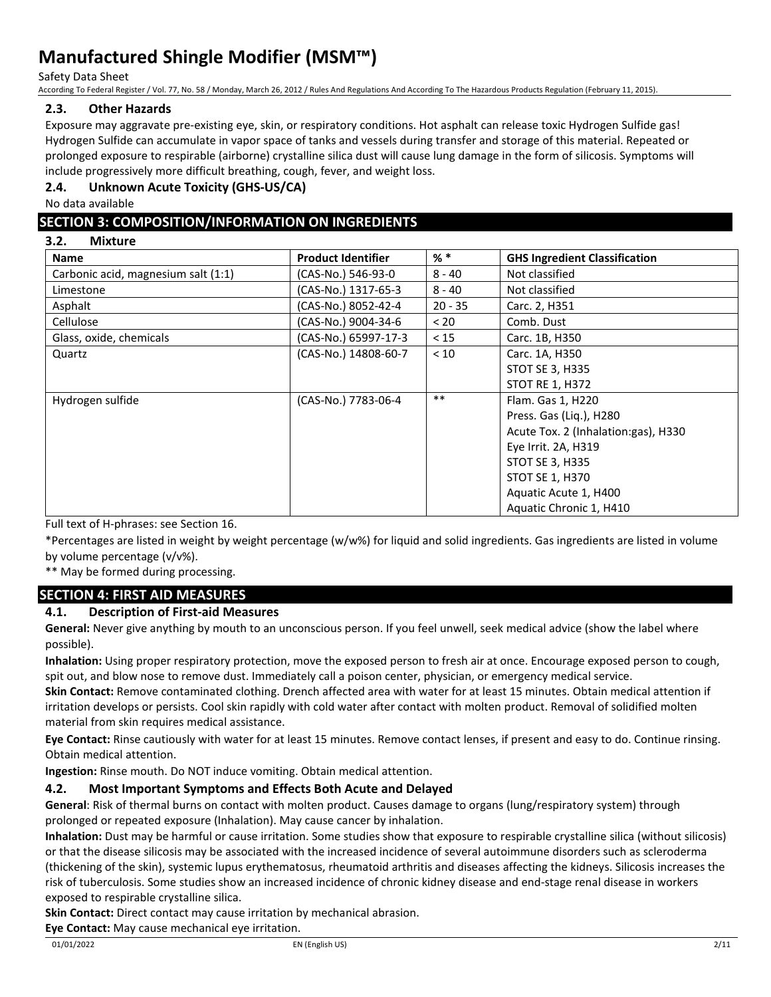Safety Data Sheet

According To Federal Register / Vol. 77, No. 58 / Monday, March 26, 2012 / Rules And Regulations And According To The Hazardous Products Regulation (February 11, 2015).

## **2.3. Other Hazards**

Exposure may aggravate pre-existing eye, skin, or respiratory conditions. Hot asphalt can release toxic Hydrogen Sulfide gas! Hydrogen Sulfide can accumulate in vapor space of tanks and vessels during transfer and storage of this material. Repeated or prolonged exposure to respirable (airborne) crystalline silica dust will cause lung damage in the form of silicosis. Symptoms will include progressively more difficult breathing, cough, fever, and weight loss.

### **2.4. Unknown Acute Toxicity (GHS-US/CA)**

No data available

## **SECTION 3: COMPOSITION/INFORMATION ON INGREDIENTS**

**3.2. Mixture**

| <b>Name</b>                         | <b>Product Identifier</b> | $%$ $*$   | <b>GHS Ingredient Classification</b> |
|-------------------------------------|---------------------------|-----------|--------------------------------------|
| Carbonic acid, magnesium salt (1:1) | (CAS-No.) 546-93-0        | $8 - 40$  | Not classified                       |
| Limestone                           | (CAS-No.) 1317-65-3       | $8 - 40$  | Not classified                       |
| Asphalt                             | (CAS-No.) 8052-42-4       | $20 - 35$ | Carc. 2, H351                        |
| Cellulose                           | (CAS-No.) 9004-34-6       | < 20      | Comb. Dust                           |
| Glass, oxide, chemicals             | (CAS-No.) 65997-17-3      | < 15      | Carc. 1B, H350                       |
| Quartz                              | (CAS-No.) 14808-60-7      | < 10      | Carc. 1A, H350                       |
|                                     |                           |           | <b>STOT SE 3, H335</b>               |
|                                     |                           |           | <b>STOT RE 1, H372</b>               |
| Hydrogen sulfide                    | (CAS-No.) 7783-06-4       | $***$     | Flam. Gas 1, H220                    |
|                                     |                           |           | Press. Gas (Lig.), H280              |
|                                     |                           |           | Acute Tox. 2 (Inhalation:gas), H330  |
|                                     |                           |           | Eye Irrit. 2A, H319                  |
|                                     |                           |           | <b>STOT SE 3, H335</b>               |
|                                     |                           |           | <b>STOT SE 1, H370</b>               |
|                                     |                           |           | Aquatic Acute 1, H400                |
|                                     |                           |           | Aquatic Chronic 1, H410              |

Full text of H-phrases: see Section 16.

\*Percentages are listed in weight by weight percentage (w/w%) for liquid and solid ingredients. Gas ingredients are listed in volume by volume percentage (v/v%).

\*\* May be formed during processing.

## **SECTION 4: FIRST AID MEASURES**

### **4.1. Description of First-aid Measures**

**General:** Never give anything by mouth to an unconscious person. If you feel unwell, seek medical advice (show the label where possible).

**Inhalation:** Using proper respiratory protection, move the exposed person to fresh air at once. Encourage exposed person to cough, spit out, and blow nose to remove dust. Immediately call a poison center, physician, or emergency medical service.

**Skin Contact:** Remove contaminated clothing. Drench affected area with water for at least 15 minutes. Obtain medical attention if irritation develops or persists. Cool skin rapidly with cold water after contact with molten product. Removal of solidified molten material from skin requires medical assistance.

**Eye Contact:** Rinse cautiously with water for at least 15 minutes. Remove contact lenses, if present and easy to do. Continue rinsing. Obtain medical attention.

**Ingestion:** Rinse mouth. Do NOT induce vomiting. Obtain medical attention.

### **4.2. Most Important Symptoms and Effects Both Acute and Delayed**

**General**: Risk of thermal burns on contact with molten product. Causes damage to organs (lung/respiratory system) through prolonged or repeated exposure (Inhalation). May cause cancer by inhalation.

**Inhalation:** Dust may be harmful or cause irritation. Some studies show that exposure to respirable crystalline silica (without silicosis) or that the disease silicosis may be associated with the increased incidence of several autoimmune disorders such as scleroderma (thickening of the skin), systemic lupus erythematosus, rheumatoid arthritis and diseases affecting the kidneys. Silicosis increases the risk of tuberculosis. Some studies show an increased incidence of chronic kidney disease and end-stage renal disease in workers exposed to respirable crystalline silica.

**Skin Contact:** Direct contact may cause irritation by mechanical abrasion.

**Eye Contact:** May cause mechanical eye irritation.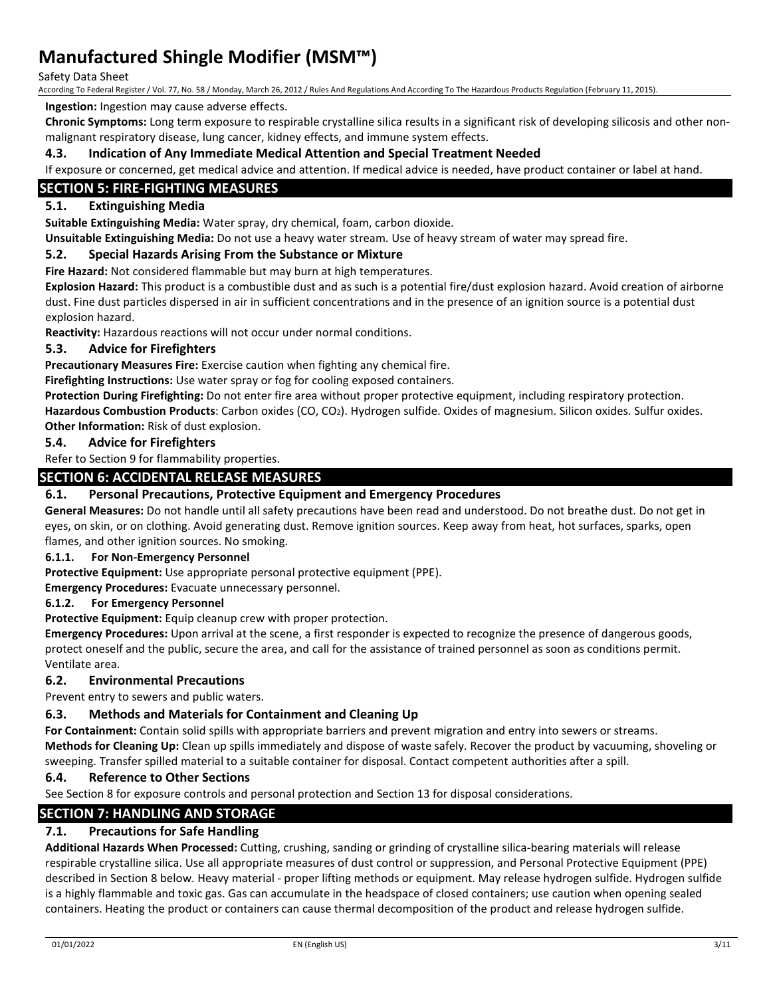Safety Data Sheet

According To Federal Register / Vol. 77, No. 58 / Monday, March 26, 2012 / Rules And Regulations And According To The Hazardous Products Regulation (February 11, 2015).

**Ingestion:** Ingestion may cause adverse effects.

**Chronic Symptoms:** Long term exposure to respirable crystalline silica results in a significant risk of developing silicosis and other nonmalignant respiratory disease, lung cancer, kidney effects, and immune system effects.

#### **4.3. Indication of Any Immediate Medical Attention and Special Treatment Needed**

If exposure or concerned, get medical advice and attention. If medical advice is needed, have product container or label at hand.

## **SECTION 5: FIRE-FIGHTING MEASURES**

### **5.1. Extinguishing Media**

**Suitable Extinguishing Media:** Water spray, dry chemical, foam, carbon dioxide.

**Unsuitable Extinguishing Media:** Do not use a heavy water stream. Use of heavy stream of water may spread fire.

#### **5.2. Special Hazards Arising From the Substance or Mixture**

**Fire Hazard:** Not considered flammable but may burn at high temperatures.

**Explosion Hazard:** This product is a combustible dust and as such is a potential fire/dust explosion hazard. Avoid creation of airborne dust. Fine dust particles dispersed in air in sufficient concentrations and in the presence of an ignition source is a potential dust explosion hazard.

**Reactivity:** Hazardous reactions will not occur under normal conditions.

#### **5.3. Advice for Firefighters**

**Precautionary Measures Fire:** Exercise caution when fighting any chemical fire.

**Firefighting Instructions:** Use water spray or fog for cooling exposed containers.

**Protection During Firefighting:** Do not enter fire area without proper protective equipment, including respiratory protection.

**Hazardous Combustion Products**: Carbon oxides (CO, CO2). Hydrogen sulfide. Oxides of magnesium. Silicon oxides. Sulfur oxides. **Other Information:** Risk of dust explosion.

#### **5.4. Advice for Firefighters**

Refer to Section 9 for flammability properties.

### **SECTION 6: ACCIDENTAL RELEASE MEASURES**

#### **6.1. Personal Precautions, Protective Equipment and Emergency Procedures**

**General Measures:** Do not handle until all safety precautions have been read and understood. Do not breathe dust. Do not get in eyes, on skin, or on clothing. Avoid generating dust. Remove ignition sources. Keep away from heat, hot surfaces, sparks, open flames, and other ignition sources. No smoking.

#### **6.1.1. For Non-Emergency Personnel**

**Protective Equipment:** Use appropriate personal protective equipment (PPE).

**Emergency Procedures:** Evacuate unnecessary personnel.

#### **6.1.2. For Emergency Personnel**

**Protective Equipment:** Equip cleanup crew with proper protection.

**Emergency Procedures:** Upon arrival at the scene, a first responder is expected to recognize the presence of dangerous goods, protect oneself and the public, secure the area, and call for the assistance of trained personnel as soon as conditions permit. Ventilate area.

#### **6.2. Environmental Precautions**

Prevent entry to sewers and public waters.

#### **6.3. Methods and Materials for Containment and Cleaning Up**

**For Containment:** Contain solid spills with appropriate barriers and prevent migration and entry into sewers or streams. **Methods for Cleaning Up:** Clean up spills immediately and dispose of waste safely. Recover the product by vacuuming, shoveling or sweeping. Transfer spilled material to a suitable container for disposal. Contact competent authorities after a spill.

#### **6.4. Reference to Other Sections**

See Section 8 for exposure controls and personal protection and Section 13 for disposal considerations.

### **SECTION 7: HANDLING AND STORAGE**

### **7.1. Precautions for Safe Handling**

**Additional Hazards When Processed:** Cutting, crushing, sanding or grinding of crystalline silica-bearing materials will release respirable crystalline silica. Use all appropriate measures of dust control or suppression, and Personal Protective Equipment (PPE) described in Section 8 below. Heavy material - proper lifting methods or equipment. May release hydrogen sulfide. Hydrogen sulfide is a highly flammable and toxic gas. Gas can accumulate in the headspace of closed containers; use caution when opening sealed containers. Heating the product or containers can cause thermal decomposition of the product and release hydrogen sulfide.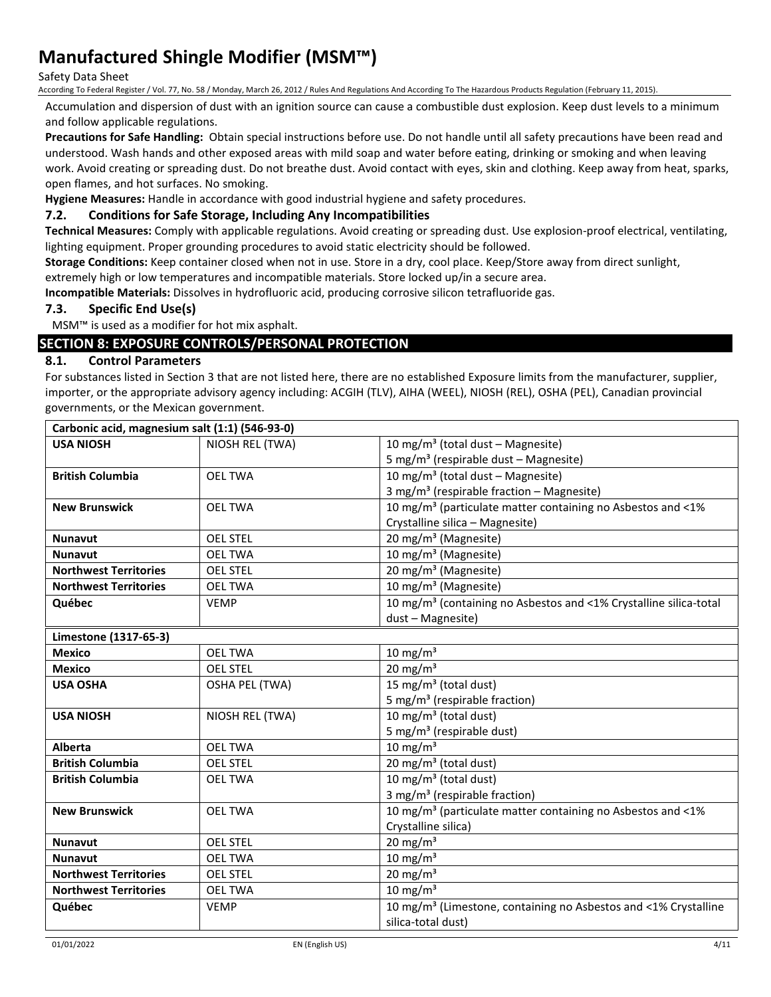#### Safety Data Sheet

According To Federal Register / Vol. 77, No. 58 / Monday, March 26, 2012 / Rules And Regulations And According To The Hazardous Products Regulation (February 11, 2015).

Accumulation and dispersion of dust with an ignition source can cause a combustible dust explosion. Keep dust levels to a minimum and follow applicable regulations.

**Precautions for Safe Handling:** Obtain special instructions before use. Do not handle until all safety precautions have been read and understood. Wash hands and other exposed areas with mild soap and water before eating, drinking or smoking and when leaving work. Avoid creating or spreading dust. Do not breathe dust. Avoid contact with eyes, skin and clothing. Keep away from heat, sparks, open flames, and hot surfaces. No smoking.

**Hygiene Measures:** Handle in accordance with good industrial hygiene and safety procedures.

### **7.2. Conditions for Safe Storage, Including Any Incompatibilities**

**Technical Measures:** Comply with applicable regulations. Avoid creating or spreading dust. Use explosion-proof electrical, ventilating, lighting equipment. Proper grounding procedures to avoid static electricity should be followed.

**Storage Conditions:** Keep container closed when not in use. Store in a dry, cool place. Keep/Store away from direct sunlight,

extremely high or low temperatures and incompatible materials. Store locked up/in a secure area.

**Incompatible Materials:** Dissolves in hydrofluoric acid, producing corrosive silicon tetrafluoride gas.

#### **7.3. Specific End Use(s)**

MSM™ is used as a modifier for hot mix asphalt.

### **SECTION 8: EXPOSURE CONTROLS/PERSONAL PROTECTION**

#### **8.1. Control Parameters**

For substances listed in Section 3 that are not listed here, there are no established Exposure limits from the manufacturer, supplier, importer, or the appropriate advisory agency including: ACGIH (TLV), AIHA (WEEL), NIOSH (REL), OSHA (PEL), Canadian provincial governments, or the Mexican government.

| Carbonic acid, magnesium salt (1:1) (546-93-0) |                       |                                                                               |
|------------------------------------------------|-----------------------|-------------------------------------------------------------------------------|
| <b>USA NIOSH</b>                               | NIOSH REL (TWA)       | 10 mg/m <sup>3</sup> (total dust - Magnesite)                                 |
|                                                |                       | 5 mg/m <sup>3</sup> (respirable dust - Magnesite)                             |
| <b>British Columbia</b>                        | <b>OEL TWA</b>        | 10 mg/m <sup>3</sup> (total dust - Magnesite)                                 |
|                                                |                       | 3 mg/m <sup>3</sup> (respirable fraction - Magnesite)                         |
| <b>New Brunswick</b>                           | <b>OEL TWA</b>        | 10 mg/m <sup>3</sup> (particulate matter containing no Asbestos and <1%       |
|                                                |                       | Crystalline silica - Magnesite)                                               |
| <b>Nunavut</b>                                 | <b>OEL STEL</b>       | 20 mg/m <sup>3</sup> (Magnesite)                                              |
| <b>Nunavut</b>                                 | <b>OEL TWA</b>        | 10 mg/m <sup>3</sup> (Magnesite)                                              |
| <b>Northwest Territories</b>                   | <b>OEL STEL</b>       | 20 mg/m <sup>3</sup> (Magnesite)                                              |
| <b>Northwest Territories</b>                   | <b>OEL TWA</b>        | 10 mg/m <sup>3</sup> (Magnesite)                                              |
| Québec                                         | <b>VEMP</b>           | 10 mg/m <sup>3</sup> (containing no Asbestos and <1% Crystalline silica-total |
|                                                |                       | dust - Magnesite)                                                             |
| Limestone (1317-65-3)                          |                       |                                                                               |
| <b>Mexico</b>                                  | <b>OEL TWA</b>        | 10 mg/m $3$                                                                   |
| <b>Mexico</b>                                  | <b>OEL STEL</b>       | 20 mg/m $3$                                                                   |
| <b>USA OSHA</b>                                | <b>OSHA PEL (TWA)</b> | 15 mg/m <sup>3</sup> (total dust)                                             |
|                                                |                       | 5 mg/m <sup>3</sup> (respirable fraction)                                     |
| <b>USA NIOSH</b>                               | NIOSH REL (TWA)       | 10 mg/m <sup>3</sup> (total dust)                                             |
|                                                |                       | 5 mg/m <sup>3</sup> (respirable dust)                                         |
| <b>Alberta</b>                                 | <b>OEL TWA</b>        | 10 mg/m $3$                                                                   |
| <b>British Columbia</b>                        | <b>OEL STEL</b>       | 20 mg/m <sup>3</sup> (total dust)                                             |
| <b>British Columbia</b>                        | <b>OEL TWA</b>        | 10 mg/m <sup>3</sup> (total dust)                                             |
|                                                |                       | 3 mg/m <sup>3</sup> (respirable fraction)                                     |
| <b>New Brunswick</b>                           | <b>OEL TWA</b>        | 10 mg/m <sup>3</sup> (particulate matter containing no Asbestos and <1%       |
|                                                |                       | Crystalline silica)                                                           |
| <b>Nunavut</b>                                 | <b>OEL STEL</b>       | 20 mg/m $3$                                                                   |
| <b>Nunavut</b>                                 | <b>OEL TWA</b>        | 10 mg/m $3$                                                                   |
| <b>Northwest Territories</b>                   | <b>OEL STEL</b>       | $20 \text{ mg/m}^3$                                                           |
| <b>Northwest Territories</b>                   | <b>OEL TWA</b>        | $10 \text{ mg/m}^3$                                                           |
| Québec                                         | <b>VEMP</b>           | 10 mg/m <sup>3</sup> (Limestone, containing no Asbestos and <1% Crystalline   |
|                                                |                       | silica-total dust)                                                            |
|                                                |                       |                                                                               |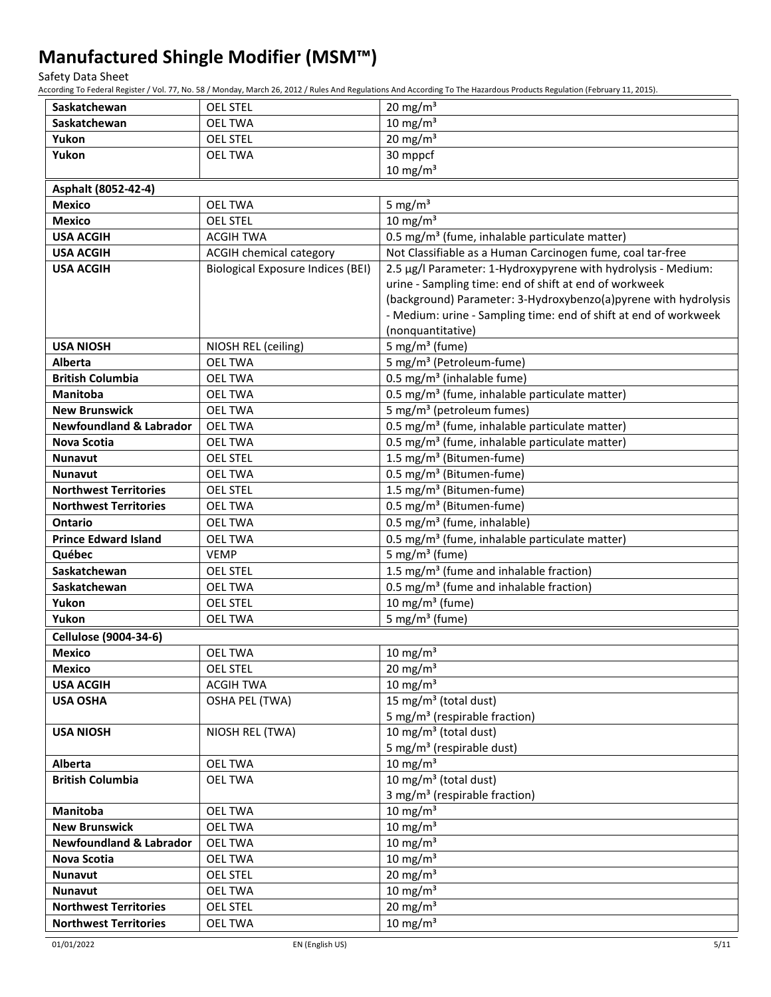Safety Data Sheet

According To Federal Register / Vol. 77, No. 58 / Monday, March 26, 2012 / Rules And Regulations And According To The Hazardous Products Regulation (February 11, 2015).

| Saskatchewan                       | <b>OEL STEL</b>                          | 20 mg/m <sup>3</sup>                                               |
|------------------------------------|------------------------------------------|--------------------------------------------------------------------|
| Saskatchewan                       | <b>OEL TWA</b>                           | $10 \text{ mg/m}^3$                                                |
| Yukon                              | <b>OEL STEL</b>                          | 20 mg/m $3$                                                        |
| Yukon                              | <b>OEL TWA</b>                           | 30 mppcf                                                           |
|                                    |                                          | $10 \text{ mg/m}^3$                                                |
| Asphalt (8052-42-4)                |                                          |                                                                    |
| <b>Mexico</b>                      | <b>OEL TWA</b>                           | 5 mg/ $m3$                                                         |
| <b>Mexico</b>                      | <b>OEL STEL</b>                          | $10 \text{ mg/m}^3$                                                |
| <b>USA ACGIH</b>                   | <b>ACGIH TWA</b>                         | 0.5 mg/m <sup>3</sup> (fume, inhalable particulate matter)         |
| <b>USA ACGIH</b>                   | ACGIH chemical category                  | Not Classifiable as a Human Carcinogen fume, coal tar-free         |
| <b>USA ACGIH</b>                   | <b>Biological Exposure Indices (BEI)</b> | 2.5 µg/l Parameter: 1-Hydroxypyrene with hydrolysis - Medium:      |
|                                    |                                          | urine - Sampling time: end of shift at end of workweek             |
|                                    |                                          | (background) Parameter: 3-Hydroxybenzo(a)pyrene with hydrolysis    |
|                                    |                                          | - Medium: urine - Sampling time: end of shift at end of workweek   |
|                                    |                                          | (nonquantitative)                                                  |
| <b>USA NIOSH</b><br><b>Alberta</b> | NIOSH REL (ceiling)<br><b>OEL TWA</b>    | 5 mg/m <sup>3</sup> (fume)<br>5 mg/m <sup>3</sup> (Petroleum-fume) |
| <b>British Columbia</b>            | <b>OEL TWA</b>                           | 0.5 mg/m <sup>3</sup> (inhalable fume)                             |
| <b>Manitoba</b>                    | <b>OEL TWA</b>                           | 0.5 mg/m <sup>3</sup> (fume, inhalable particulate matter)         |
| <b>New Brunswick</b>               | <b>OEL TWA</b>                           | 5 mg/m <sup>3</sup> (petroleum fumes)                              |
| <b>Newfoundland &amp; Labrador</b> | <b>OEL TWA</b>                           | 0.5 mg/m <sup>3</sup> (fume, inhalable particulate matter)         |
| Nova Scotia                        | <b>OEL TWA</b>                           | 0.5 mg/m <sup>3</sup> (fume, inhalable particulate matter)         |
| <b>Nunavut</b>                     | <b>OEL STEL</b>                          | 1.5 mg/m <sup>3</sup> (Bitumen-fume)                               |
| <b>Nunavut</b>                     | <b>OEL TWA</b>                           | 0.5 mg/m <sup>3</sup> (Bitumen-fume)                               |
| <b>Northwest Territories</b>       | <b>OEL STEL</b>                          | 1.5 mg/m <sup>3</sup> (Bitumen-fume)                               |
| <b>Northwest Territories</b>       | <b>OEL TWA</b>                           | 0.5 mg/m <sup>3</sup> (Bitumen-fume)                               |
| <b>Ontario</b>                     | <b>OEL TWA</b>                           | 0.5 mg/m <sup>3</sup> (fume, inhalable)                            |
| <b>Prince Edward Island</b>        | <b>OEL TWA</b>                           | 0.5 mg/m <sup>3</sup> (fume, inhalable particulate matter)         |
| Québec                             | <b>VEMP</b>                              | 5 mg/m <sup>3</sup> (fume)                                         |
| Saskatchewan                       | <b>OEL STEL</b>                          | 1.5 mg/m <sup>3</sup> (fume and inhalable fraction)                |
| Saskatchewan                       | <b>OEL TWA</b>                           | 0.5 mg/m <sup>3</sup> (fume and inhalable fraction)                |
| Yukon                              | <b>OEL STEL</b>                          | 10 mg/m $3$ (fume)                                                 |
| Yukon                              | <b>OEL TWA</b>                           | 5 mg/m <sup>3</sup> (fume)                                         |
| Cellulose (9004-34-6)              |                                          |                                                                    |
| <b>Mexico</b>                      | <b>OEL TWA</b>                           | $10 \text{ mg/m}^3$                                                |
| <b>Mexico</b>                      | <b>OEL STEL</b>                          | $20 \text{ mg/m}^3$                                                |
| <b>USA ACGIH</b>                   | <b>ACGIH TWA</b>                         | 10 mg/m $3$                                                        |
| <b>USA OSHA</b>                    | <b>OSHA PEL (TWA)</b>                    | 15 mg/m <sup>3</sup> (total dust)                                  |
|                                    |                                          | 5 mg/m <sup>3</sup> (respirable fraction)                          |
| <b>USA NIOSH</b>                   | NIOSH REL (TWA)                          | 10 mg/m <sup>3</sup> (total dust)                                  |
|                                    |                                          | 5 mg/m <sup>3</sup> (respirable dust)<br>10 mg/m $3$               |
| Alberta<br><b>British Columbia</b> | <b>OEL TWA</b><br><b>OEL TWA</b>         | 10 mg/m <sup>3</sup> (total dust)                                  |
|                                    |                                          | 3 mg/m <sup>3</sup> (respirable fraction)                          |
| Manitoba                           | <b>OEL TWA</b>                           | 10 mg/m $3$                                                        |
| <b>New Brunswick</b>               | <b>OEL TWA</b>                           | 10 mg/m $3$                                                        |
| <b>Newfoundland &amp; Labrador</b> | <b>OEL TWA</b>                           | 10 mg/m $3$                                                        |
| Nova Scotia                        | <b>OEL TWA</b>                           | 10 mg/m $3$                                                        |
| Nunavut                            | <b>OEL STEL</b>                          | 20 mg/m <sup>3</sup>                                               |
| Nunavut                            | <b>OEL TWA</b>                           | $10 \text{ mg/m}^3$                                                |
| <b>Northwest Territories</b>       | <b>OEL STEL</b>                          | $20 \text{ mg/m}^3$                                                |
| <b>Northwest Territories</b>       | <b>OEL TWA</b>                           | 10 mg/m $3$                                                        |
|                                    |                                          |                                                                    |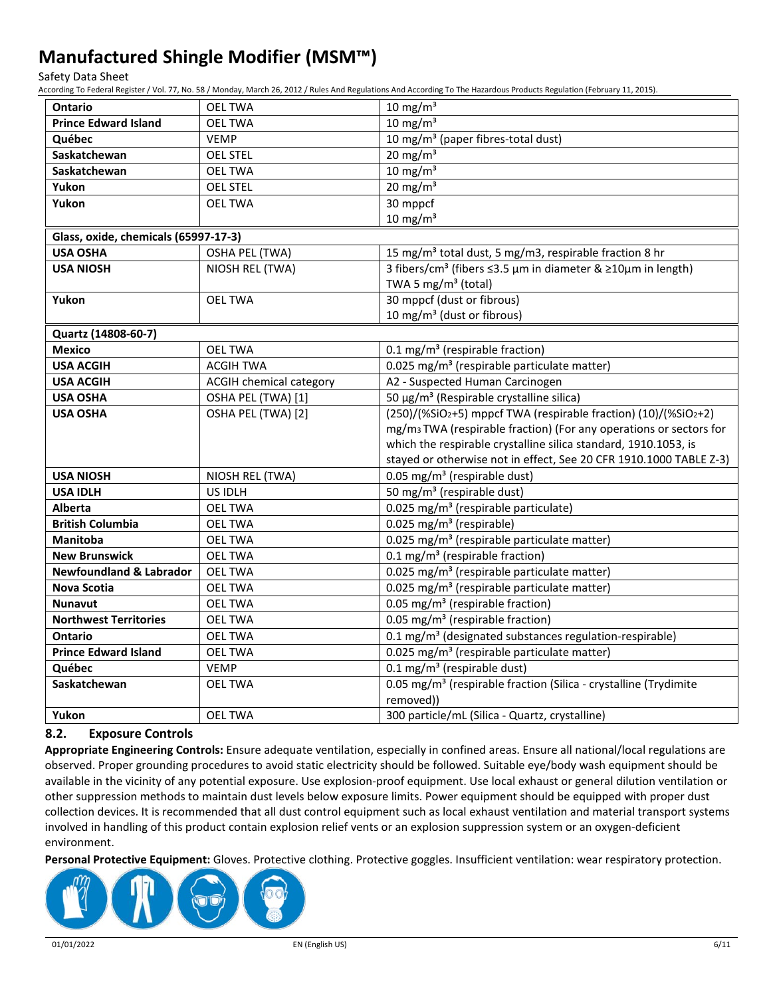Safety Data Sheet

According To Federal Register / Vol. 77, No. 58 / Monday, March 26, 2012 / Rules And Regulations And According To The Hazardous Products Regulation (February 11, 2015).

| <b>Ontario</b>                       | <b>OEL TWA</b>                 | 10 mg/m $3$                                                                    |
|--------------------------------------|--------------------------------|--------------------------------------------------------------------------------|
| <b>Prince Edward Island</b>          | <b>OEL TWA</b>                 | $10 \text{ mg/m}^3$                                                            |
| Québec                               | <b>VEMP</b>                    | 10 mg/m <sup>3</sup> (paper fibres-total dust)                                 |
| Saskatchewan                         | <b>OEL STEL</b>                | $20 \text{ mg/m}^3$                                                            |
| Saskatchewan                         | <b>OEL TWA</b>                 | 10 mg/m $3$                                                                    |
| Yukon                                | <b>OEL STEL</b>                | $20 \text{ mg/m}^3$                                                            |
| Yukon                                | <b>OEL TWA</b>                 | 30 mppcf                                                                       |
|                                      |                                | $10 \text{ mg/m}^3$                                                            |
| Glass, oxide, chemicals (65997-17-3) |                                |                                                                                |
| <b>USA OSHA</b>                      | OSHA PEL (TWA)                 | 15 mg/m <sup>3</sup> total dust, 5 mg/m3, respirable fraction 8 hr             |
| <b>USA NIOSH</b>                     | NIOSH REL (TWA)                | 3 fibers/cm <sup>3</sup> (fibers ≤3.5 µm in diameter & ≥10µm in length)        |
|                                      |                                | TWA 5 mg/m <sup>3</sup> (total)                                                |
| Yukon                                | <b>OEL TWA</b>                 | 30 mppcf (dust or fibrous)                                                     |
|                                      |                                | 10 mg/m <sup>3</sup> (dust or fibrous)                                         |
| Quartz (14808-60-7)                  |                                |                                                                                |
| <b>Mexico</b>                        | <b>OEL TWA</b>                 | 0.1 mg/m <sup>3</sup> (respirable fraction)                                    |
| <b>USA ACGIH</b>                     | <b>ACGIH TWA</b>               | 0.025 mg/m <sup>3</sup> (respirable particulate matter)                        |
| <b>USA ACGIH</b>                     | <b>ACGIH chemical category</b> | A2 - Suspected Human Carcinogen                                                |
| <b>USA OSHA</b>                      | OSHA PEL (TWA) [1]             | 50 μg/m <sup>3</sup> (Respirable crystalline silica)                           |
| <b>USA OSHA</b>                      | OSHA PEL (TWA) [2]             | (250)/(%SiO2+5) mppcf TWA (respirable fraction) (10)/(%SiO2+2)                 |
|                                      |                                | mg/m <sub>3</sub> TWA (respirable fraction) (For any operations or sectors for |
|                                      |                                | which the respirable crystalline silica standard, 1910.1053, is                |
|                                      |                                | stayed or otherwise not in effect, See 20 CFR 1910.1000 TABLE Z-3)             |
| <b>USA NIOSH</b>                     | NIOSH REL (TWA)                | 0.05 mg/m <sup>3</sup> (respirable dust)                                       |
| <b>USA IDLH</b>                      | US IDLH                        | 50 mg/m <sup>3</sup> (respirable dust)                                         |
| <b>Alberta</b>                       | <b>OEL TWA</b>                 | 0.025 mg/m <sup>3</sup> (respirable particulate)                               |
| <b>British Columbia</b>              | <b>OEL TWA</b>                 | 0.025 mg/m <sup>3</sup> (respirable)                                           |
| <b>Manitoba</b>                      | <b>OEL TWA</b>                 | 0.025 mg/m <sup>3</sup> (respirable particulate matter)                        |
| <b>New Brunswick</b>                 | <b>OEL TWA</b>                 | 0.1 mg/m <sup>3</sup> (respirable fraction)                                    |
| <b>Newfoundland &amp; Labrador</b>   | <b>OEL TWA</b>                 | 0.025 mg/m <sup>3</sup> (respirable particulate matter)                        |
| <b>Nova Scotia</b>                   | <b>OEL TWA</b>                 | 0.025 mg/m <sup>3</sup> (respirable particulate matter)                        |
| <b>Nunavut</b>                       | <b>OEL TWA</b>                 | 0.05 mg/m <sup>3</sup> (respirable fraction)                                   |
| <b>Northwest Territories</b>         | <b>OEL TWA</b>                 | 0.05 mg/m <sup>3</sup> (respirable fraction)                                   |
| <b>Ontario</b>                       | <b>OEL TWA</b>                 | 0.1 mg/m <sup>3</sup> (designated substances regulation-respirable)            |
| <b>Prince Edward Island</b>          | <b>OEL TWA</b>                 | 0.025 mg/m <sup>3</sup> (respirable particulate matter)                        |
| Québec                               | <b>VEMP</b>                    | $0.1$ mg/m <sup>3</sup> (respirable dust)                                      |
| Saskatchewan                         | <b>OEL TWA</b>                 | 0.05 mg/m <sup>3</sup> (respirable fraction (Silica - crystalline (Trydimite   |
|                                      |                                | removed))                                                                      |
| Yukon                                | <b>OEL TWA</b>                 | 300 particle/mL (Silica - Quartz, crystalline)                                 |

### **8.2. Exposure Controls**

**Appropriate Engineering Controls:** Ensure adequate ventilation, especially in confined areas. Ensure all national/local regulations are observed. Proper grounding procedures to avoid static electricity should be followed. Suitable eye/body wash equipment should be available in the vicinity of any potential exposure. Use explosion-proof equipment. Use local exhaust or general dilution ventilation or other suppression methods to maintain dust levels below exposure limits. Power equipment should be equipped with proper dust collection devices. It is recommended that all dust control equipment such as local exhaust ventilation and material transport systems involved in handling of this product contain explosion relief vents or an explosion suppression system or an oxygen-deficient environment.

**Personal Protective Equipment:** Gloves. Protective clothing. Protective goggles. Insufficient ventilation: wear respiratory protection.

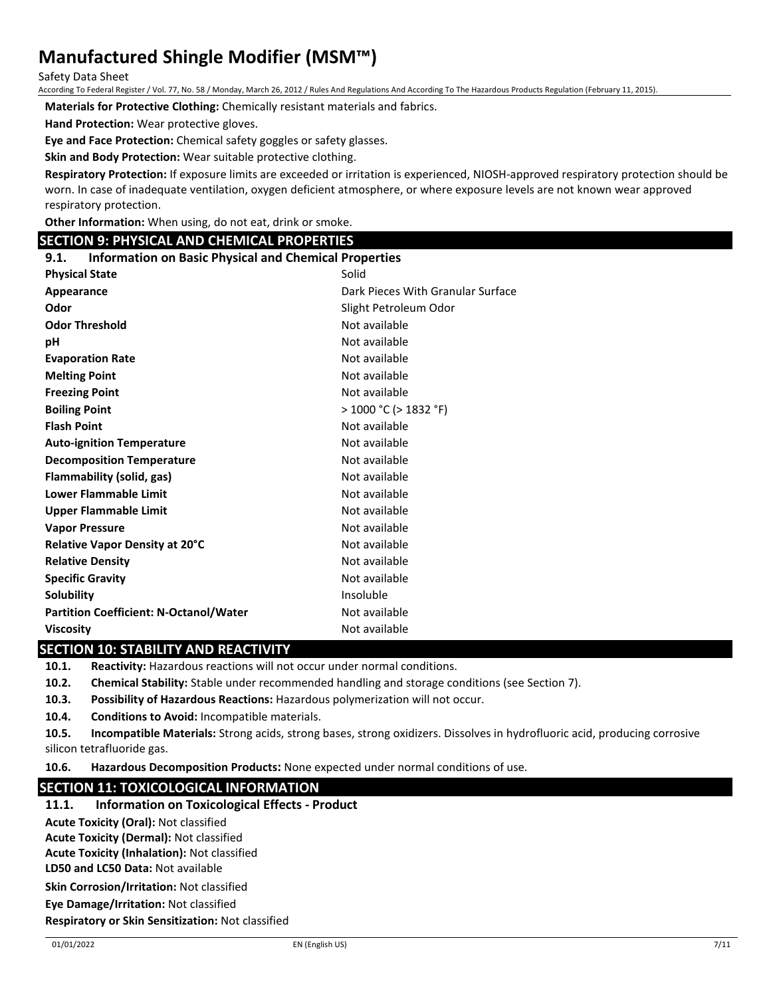Safety Data Sheet

According To Federal Register / Vol. 77, No. 58 / Monday, March 26, 2012 / Rules And Regulations And According To The Hazardous Products Regulation (February 11, 2015).

**Materials for Protective Clothing:** Chemically resistant materials and fabrics.

**Hand Protection:** Wear protective gloves.

**Eye and Face Protection:** Chemical safety goggles or safety glasses.

**Skin and Body Protection:** Wear suitable protective clothing.

**Respiratory Protection:** If exposure limits are exceeded or irritation is experienced, NIOSH-approved respiratory protection should be worn. In case of inadequate ventilation, oxygen deficient atmosphere, or where exposure levels are not known wear approved respiratory protection.

**Other Information:** When using, do not eat, drink or smoke.

#### **SECTION 9: PHYSICAL AND CHEMICAL PROPERTIES**

#### **9.1. Information on Basic Physical and Chemical Properties**

| <b>Physical State</b>                         | Solid                             |
|-----------------------------------------------|-----------------------------------|
| Appearance                                    | Dark Pieces With Granular Surface |
| Odor                                          | Slight Petroleum Odor             |
| <b>Odor Threshold</b>                         | Not available                     |
| рH                                            | Not available                     |
| <b>Evaporation Rate</b>                       | Not available                     |
| <b>Melting Point</b>                          | Not available                     |
| <b>Freezing Point</b>                         | Not available                     |
| <b>Boiling Point</b>                          | > 1000 °C (> 1832 °F)             |
| <b>Flash Point</b>                            | Not available                     |
| <b>Auto-ignition Temperature</b>              | Not available                     |
| <b>Decomposition Temperature</b>              | Not available                     |
| Flammability (solid, gas)                     | Not available                     |
| <b>Lower Flammable Limit</b>                  | Not available                     |
| <b>Upper Flammable Limit</b>                  | Not available                     |
| <b>Vapor Pressure</b>                         | Not available                     |
| <b>Relative Vapor Density at 20°C</b>         | Not available                     |
| <b>Relative Density</b>                       | Not available                     |
| <b>Specific Gravity</b>                       | Not available                     |
| Solubility                                    | Insoluble                         |
| <b>Partition Coefficient: N-Octanol/Water</b> | Not available                     |
| <b>Viscosity</b>                              | Not available                     |

### **SECTION 10: STABILITY AND REACTIVITY**

**10.1. Reactivity:** Hazardous reactions will not occur under normal conditions.

- **10.2. Chemical Stability:** Stable under recommended handling and storage conditions (see Section 7).
- **10.3. Possibility of Hazardous Reactions:** Hazardous polymerization will not occur.

**10.4. Conditions to Avoid:** Incompatible materials.

**10.5. Incompatible Materials:** Strong acids, strong bases, strong oxidizers. Dissolves in hydrofluoric acid, producing corrosive silicon tetrafluoride gas.

**10.6. Hazardous Decomposition Products:** None expected under normal conditions of use.

#### **SECTION 11: TOXICOLOGICAL INFORMATION**

**11.1. Information on Toxicological Effects - Product**

**Acute Toxicity (Oral):** Not classified

**Acute Toxicity (Dermal):** Not classified

**Acute Toxicity (Inhalation):** Not classified

**LD50 and LC50 Data:** Not available

**Skin Corrosion/Irritation:** Not classified

**Eye Damage/Irritation:** Not classified

**Respiratory or Skin Sensitization:** Not classified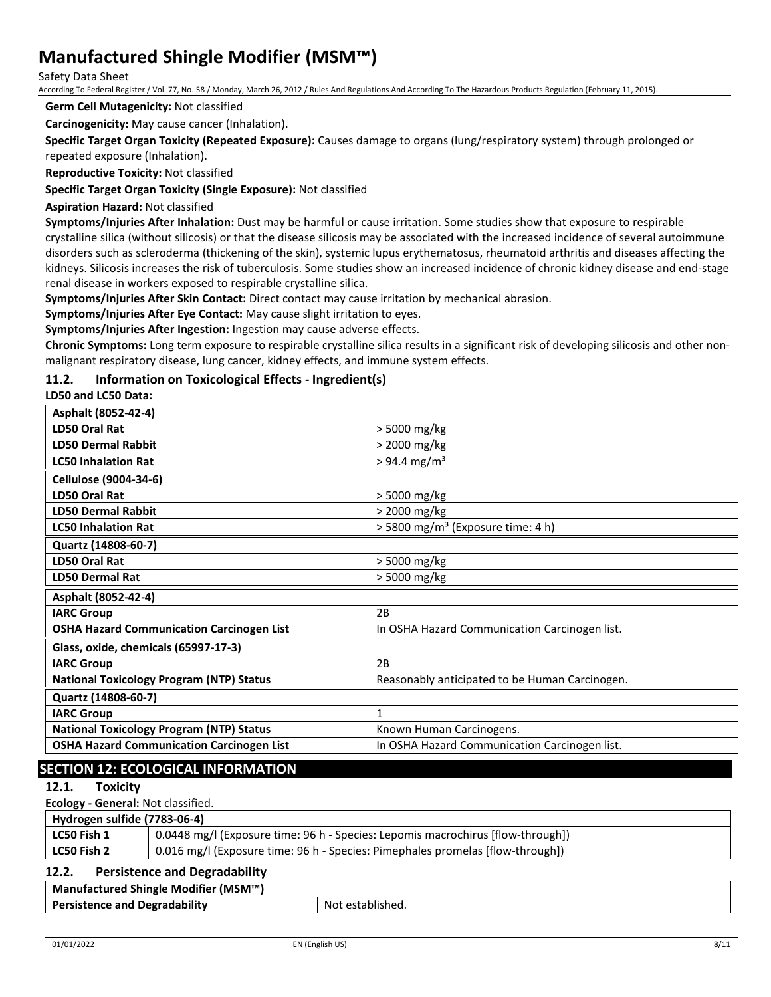Safety Data Sheet

According To Federal Register / Vol. 77, No. 58 / Monday, March 26, 2012 / Rules And Regulations And According To The Hazardous Products Regulation (February 11, 2015).

**Germ Cell Mutagenicity:** Not classified

**Carcinogenicity:** May cause cancer (Inhalation).

**Specific Target Organ Toxicity (Repeated Exposure):** Causes damage to organs (lung/respiratory system) through prolonged or repeated exposure (Inhalation).

**Reproductive Toxicity:** Not classified

**Specific Target Organ Toxicity (Single Exposure):** Not classified

**Aspiration Hazard:** Not classified

**Symptoms/Injuries After Inhalation:** Dust may be harmful or cause irritation. Some studies show that exposure to respirable crystalline silica (without silicosis) or that the disease silicosis may be associated with the increased incidence of several autoimmune disorders such as scleroderma (thickening of the skin), systemic lupus erythematosus, rheumatoid arthritis and diseases affecting the kidneys. Silicosis increases the risk of tuberculosis. Some studies show an increased incidence of chronic kidney disease and end-stage renal disease in workers exposed to respirable crystalline silica.

**Symptoms/Injuries After Skin Contact:** Direct contact may cause irritation by mechanical abrasion.

**Symptoms/Injuries After Eye Contact:** May cause slight irritation to eyes.

**Symptoms/Injuries After Ingestion:** Ingestion may cause adverse effects.

**Chronic Symptoms:** Long term exposure to respirable crystalline silica results in a significant risk of developing silicosis and other nonmalignant respiratory disease, lung cancer, kidney effects, and immune system effects.

#### **11.2. Information on Toxicological Effects - Ingredient(s)**

**LD50 and LC50 Data:**

| Asphalt (8052-42-4)                              |                                                |
|--------------------------------------------------|------------------------------------------------|
| LD50 Oral Rat                                    | > 5000 mg/kg                                   |
| <b>LD50 Dermal Rabbit</b>                        | > 2000 mg/kg                                   |
| <b>LC50 Inhalation Rat</b>                       | $> 94.4$ mg/m <sup>3</sup>                     |
| Cellulose (9004-34-6)                            |                                                |
| LD50 Oral Rat                                    | > 5000 mg/kg                                   |
| <b>LD50 Dermal Rabbit</b>                        | > 2000 mg/kg                                   |
| <b>LC50 Inhalation Rat</b>                       | > 5800 mg/m <sup>3</sup> (Exposure time: 4 h)  |
| Quartz (14808-60-7)                              |                                                |
| LD50 Oral Rat                                    | > 5000 mg/kg                                   |
| <b>LD50 Dermal Rat</b>                           | > 5000 mg/kg                                   |
| Asphalt (8052-42-4)                              |                                                |
| <b>IARC Group</b>                                | 2B                                             |
| <b>OSHA Hazard Communication Carcinogen List</b> | In OSHA Hazard Communication Carcinogen list.  |
| Glass, oxide, chemicals (65997-17-3)             |                                                |
| <b>IARC Group</b>                                | 2B                                             |
| <b>National Toxicology Program (NTP) Status</b>  | Reasonably anticipated to be Human Carcinogen. |
| Quartz (14808-60-7)                              |                                                |
| <b>IARC Group</b>                                | $\mathbf{1}$                                   |
| <b>National Toxicology Program (NTP) Status</b>  | Known Human Carcinogens.                       |
| <b>OSHA Hazard Communication Carcinogen List</b> | In OSHA Hazard Communication Carcinogen list.  |
|                                                  |                                                |

## **SECTION 12: ECOLOGICAL INFORMATION**

**12.1. Toxicity**

**Ecology - General:** Not classified.

| Hydrogen sulfide (7783-06-4) |                                                                                 |  |
|------------------------------|---------------------------------------------------------------------------------|--|
| LC50 Fish 1                  | 0.0448 mg/l (Exposure time: 96 h - Species: Lepomis macrochirus [flow-through]) |  |
| LC50 Fish 2                  | 0.016 mg/l (Exposure time: 96 h - Species: Pimephales promelas [flow-through])  |  |
| 12 J                         | Dorrictones and Docradobility                                                   |  |

#### a Degradability

| Manufactured Shingle Modifier (MSM™) |  |  |
|--------------------------------------|--|--|
|                                      |  |  |

| Persistence and Degradability |
|-------------------------------|
|                               |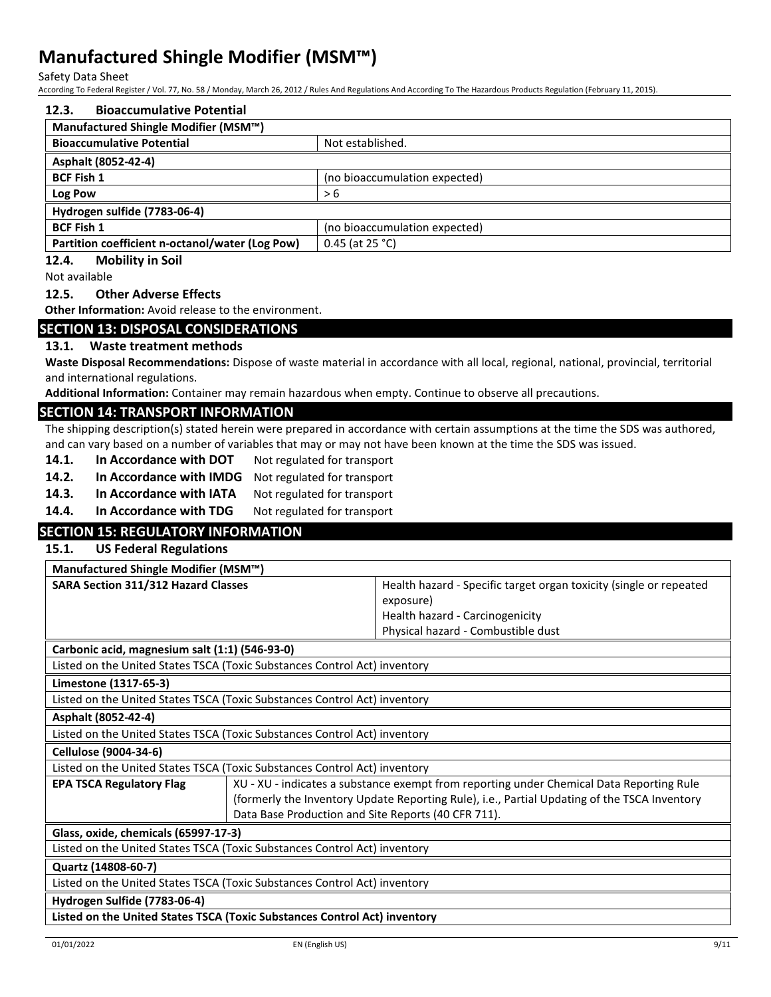Safety Data Sheet

According To Federal Register / Vol. 77, No. 58 / Monday, March 26, 2012 / Rules And Regulations And According To The Hazardous Products Regulation (February 11, 2015).

| 12.3.<br><b>Bioaccumulative Potential</b>                                                                    |                                                                                                                                                                                          |
|--------------------------------------------------------------------------------------------------------------|------------------------------------------------------------------------------------------------------------------------------------------------------------------------------------------|
| Manufactured Shingle Modifier (MSM™)                                                                         |                                                                                                                                                                                          |
| <b>Bioaccumulative Potential</b>                                                                             | Not established.                                                                                                                                                                         |
| Asphalt (8052-42-4)                                                                                          |                                                                                                                                                                                          |
| <b>BCF Fish 1</b>                                                                                            | (no bioaccumulation expected)                                                                                                                                                            |
| Log Pow                                                                                                      | > 6                                                                                                                                                                                      |
| Hydrogen sulfide (7783-06-4)                                                                                 |                                                                                                                                                                                          |
| <b>BCF Fish 1</b>                                                                                            | (no bioaccumulation expected)                                                                                                                                                            |
| Partition coefficient n-octanol/water (Log Pow)                                                              | 0.45 (at 25 °C)                                                                                                                                                                          |
| 12.4.<br><b>Mobility in Soil</b>                                                                             |                                                                                                                                                                                          |
| Not available                                                                                                |                                                                                                                                                                                          |
| <b>Other Adverse Effects</b><br>12.5.                                                                        |                                                                                                                                                                                          |
| <b>Other Information:</b> Avoid release to the environment.                                                  |                                                                                                                                                                                          |
| <b>SECTION 13: DISPOSAL CONSIDERATIONS</b>                                                                   |                                                                                                                                                                                          |
| Waste treatment methods<br>13.1.                                                                             |                                                                                                                                                                                          |
|                                                                                                              | Waste Disposal Recommendations: Dispose of waste material in accordance with all local, regional, national, provincial, territorial                                                      |
| and international regulations.                                                                               |                                                                                                                                                                                          |
|                                                                                                              | Additional Information: Container may remain hazardous when empty. Continue to observe all precautions.                                                                                  |
| <b>SECTION 14: TRANSPORT INFORMATION</b>                                                                     |                                                                                                                                                                                          |
|                                                                                                              | The shipping description(s) stated herein were prepared in accordance with certain assumptions at the time the SDS was authored,                                                         |
|                                                                                                              | and can vary based on a number of variables that may or may not have been known at the time the SDS was issued.                                                                          |
| 14.1.<br>In Accordance with DOT                                                                              | Not regulated for transport                                                                                                                                                              |
| In Accordance with IMDG<br>14.2.                                                                             | Not regulated for transport                                                                                                                                                              |
| 14.3.<br>In Accordance with IATA                                                                             |                                                                                                                                                                                          |
| 14.4.<br>In Accordance with TDG                                                                              | Not regulated for transport<br>Not regulated for transport                                                                                                                               |
|                                                                                                              |                                                                                                                                                                                          |
|                                                                                                              |                                                                                                                                                                                          |
| <b>SECTION 15: REGULATORY INFORMATION</b>                                                                    |                                                                                                                                                                                          |
| <b>US Federal Regulations</b><br>15.1.                                                                       |                                                                                                                                                                                          |
| Manufactured Shingle Modifier (MSM™)                                                                         |                                                                                                                                                                                          |
| <b>SARA Section 311/312 Hazard Classes</b>                                                                   | Health hazard - Specific target organ toxicity (single or repeated                                                                                                                       |
|                                                                                                              | exposure)                                                                                                                                                                                |
|                                                                                                              | Health hazard - Carcinogenicity                                                                                                                                                          |
|                                                                                                              | Physical hazard - Combustible dust                                                                                                                                                       |
| Carbonic acid, magnesium salt (1:1) (546-93-0)                                                               |                                                                                                                                                                                          |
| Listed on the United States TSCA (Toxic Substances Control Act) inventory                                    |                                                                                                                                                                                          |
| Limestone (1317-65-3)                                                                                        |                                                                                                                                                                                          |
| Listed on the United States TSCA (Toxic Substances Control Act) inventory                                    |                                                                                                                                                                                          |
| Asphalt (8052-42-4)                                                                                          |                                                                                                                                                                                          |
| Listed on the United States TSCA (Toxic Substances Control Act) inventory                                    |                                                                                                                                                                                          |
| Cellulose (9004-34-6)                                                                                        |                                                                                                                                                                                          |
|                                                                                                              |                                                                                                                                                                                          |
| Listed on the United States TSCA (Toxic Substances Control Act) inventory<br><b>EPA TSCA Regulatory Flag</b> |                                                                                                                                                                                          |
|                                                                                                              | XU - XU - indicates a substance exempt from reporting under Chemical Data Reporting Rule<br>(formerly the Inventory Update Reporting Rule), i.e., Partial Updating of the TSCA Inventory |
|                                                                                                              | Data Base Production and Site Reports (40 CFR 711).                                                                                                                                      |
| Glass, oxide, chemicals (65997-17-3)                                                                         |                                                                                                                                                                                          |
| Listed on the United States TSCA (Toxic Substances Control Act) inventory                                    |                                                                                                                                                                                          |
| Quartz (14808-60-7)                                                                                          |                                                                                                                                                                                          |
| Listed on the United States TSCA (Toxic Substances Control Act) inventory                                    |                                                                                                                                                                                          |
|                                                                                                              |                                                                                                                                                                                          |
| Hydrogen Sulfide (7783-06-4)<br>Listed on the United States TSCA (Toxic Substances Control Act) inventory    |                                                                                                                                                                                          |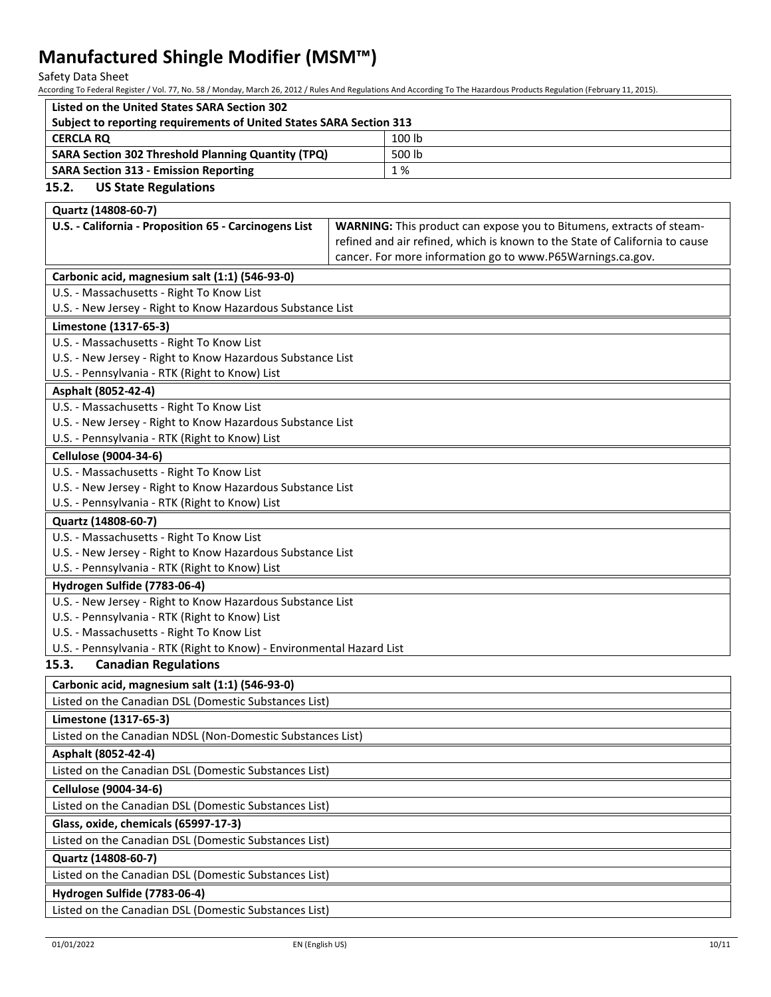Safety Data Sheet

According To Federal Register / Vol. 77, No. 58 / Monday, March 26, 2012 / Rules And Regulations And According To The Hazardous Products Regulation (February 11, 2015).

| Listed on the United States SARA Section 302                        |        |
|---------------------------------------------------------------------|--------|
| Subject to reporting requirements of United States SARA Section 313 |        |
| <b>CERCLA RO</b>                                                    | 100 lb |
| <b>SARA Section 302 Threshold Planning Quantity (TPQ)</b>           | 500 lb |
| <b>SARA Section 313 - Emission Reporting</b>                        | 1 %    |

### **15.2. US State Regulations**

| Quartz (14808-60-7)                                                   |                                                                             |  |
|-----------------------------------------------------------------------|-----------------------------------------------------------------------------|--|
| U.S. - California - Proposition 65 - Carcinogens List                 | <b>WARNING:</b> This product can expose you to Bitumens, extracts of steam- |  |
|                                                                       | refined and air refined, which is known to the State of California to cause |  |
|                                                                       | cancer. For more information go to www.P65Warnings.ca.gov.                  |  |
| Carbonic acid, magnesium salt (1:1) (546-93-0)                        |                                                                             |  |
| U.S. - Massachusetts - Right To Know List                             |                                                                             |  |
| U.S. - New Jersey - Right to Know Hazardous Substance List            |                                                                             |  |
| Limestone (1317-65-3)                                                 |                                                                             |  |
| U.S. - Massachusetts - Right To Know List                             |                                                                             |  |
| U.S. - New Jersey - Right to Know Hazardous Substance List            |                                                                             |  |
| U.S. - Pennsylvania - RTK (Right to Know) List                        |                                                                             |  |
| Asphalt (8052-42-4)                                                   |                                                                             |  |
| U.S. - Massachusetts - Right To Know List                             |                                                                             |  |
| U.S. - New Jersey - Right to Know Hazardous Substance List            |                                                                             |  |
| U.S. - Pennsylvania - RTK (Right to Know) List                        |                                                                             |  |
| <b>Cellulose (9004-34-6)</b>                                          |                                                                             |  |
| U.S. - Massachusetts - Right To Know List                             |                                                                             |  |
| U.S. - New Jersey - Right to Know Hazardous Substance List            |                                                                             |  |
| U.S. - Pennsylvania - RTK (Right to Know) List                        |                                                                             |  |
| Quartz (14808-60-7)                                                   |                                                                             |  |
| U.S. - Massachusetts - Right To Know List                             |                                                                             |  |
| U.S. - New Jersey - Right to Know Hazardous Substance List            |                                                                             |  |
| U.S. - Pennsylvania - RTK (Right to Know) List                        |                                                                             |  |
| Hydrogen Sulfide (7783-06-4)                                          |                                                                             |  |
| U.S. - New Jersey - Right to Know Hazardous Substance List            |                                                                             |  |
| U.S. - Pennsylvania - RTK (Right to Know) List                        |                                                                             |  |
| U.S. - Massachusetts - Right To Know List                             |                                                                             |  |
| U.S. - Pennsylvania - RTK (Right to Know) - Environmental Hazard List |                                                                             |  |
| <b>Canadian Regulations</b><br>15.3.                                  |                                                                             |  |
| Carbonic acid, magnesium salt (1:1) (546-93-0)                        |                                                                             |  |
| Listed on the Canadian DSL (Domestic Substances List)                 |                                                                             |  |
| Limestone (1317-65-3)                                                 |                                                                             |  |
| Listed on the Canadian NDSL (Non-Domestic Substances List)            |                                                                             |  |
| Asphalt (8052-42-4)                                                   |                                                                             |  |
| Listed on the Canadian DSL (Domestic Substances List)                 |                                                                             |  |
| <b>Cellulose (9004-34-6)</b>                                          |                                                                             |  |
| Listed on the Canadian DSL (Domestic Substances List)                 |                                                                             |  |
| Glass, oxide, chemicals (65997-17-3)                                  |                                                                             |  |
| Listed on the Canadian DSL (Domestic Substances List)                 |                                                                             |  |
| Quartz (14808-60-7)                                                   |                                                                             |  |
| Listed on the Canadian DSL (Domestic Substances List)                 |                                                                             |  |
| Hydrogen Sulfide (7783-06-4)                                          |                                                                             |  |
| Listed on the Canadian DSL (Domestic Substances List)                 |                                                                             |  |